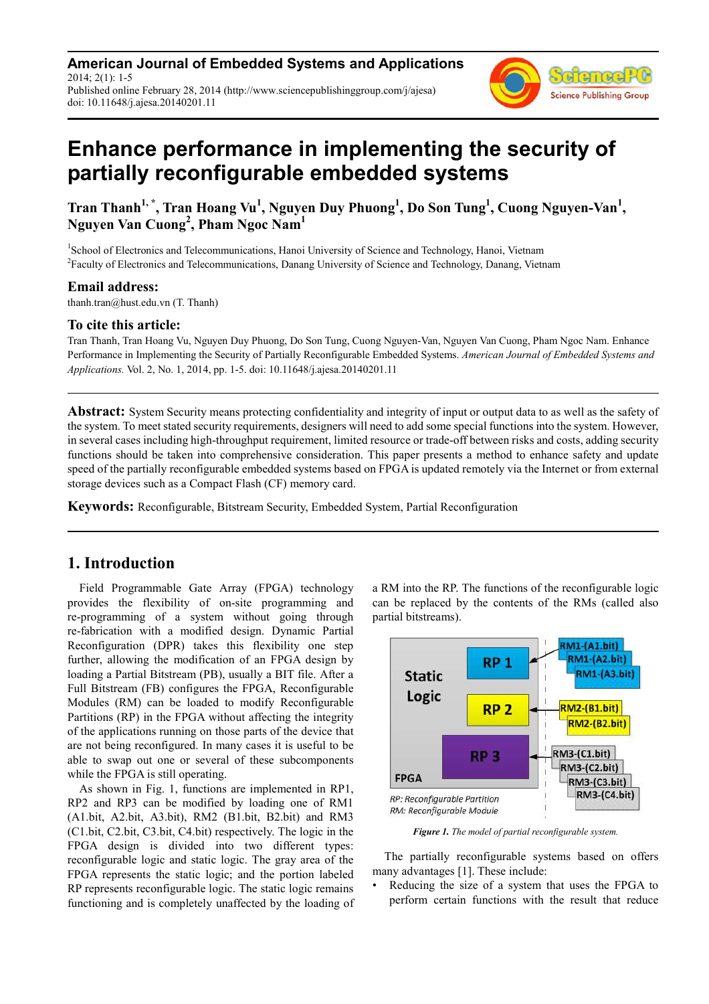**American Journal of Embedded Systems and Applications** 2014; 2(1): 1-5 Published online February 28, 2014 (http://www.sciencepublishinggroup.com/j/ajesa) doi: 10.11648/j.ajesa.20140201.11



# **Enhance performance in implementing the security of partially reconfigurable embedded systems**

**Tran Thanh1, \*, Tran Hoang Vu<sup>1</sup> , Nguyen Duy Phuong<sup>1</sup> , Do Son Tung<sup>1</sup> , Cuong Nguyen-Van<sup>1</sup> , Nguyen Van Cuong<sup>2</sup> , Pham Ngoc Nam<sup>1</sup>**

<sup>1</sup>School of Electronics and Telecommunications, Hanoi University of Science and Technology, Hanoi, Vietnam <sup>2</sup> Faculty of Electronics and Telecommunications, Danang University of Science and Technology, Danang, Vietnam

### **Email address:**

thanh.tran@hust.edu.vn (T. Thanh)

### **To cite this article:**

Tran Thanh, Tran Hoang Vu, Nguyen Duy Phuong, Do Son Tung, Cuong Nguyen-Van, Nguyen Van Cuong, Pham Ngoc Nam. Enhance Performance in Implementing the Security of Partially Reconfigurable Embedded Systems. *American Journal of Embedded Systems and Applications.* Vol. 2, No. 1, 2014, pp. 1-5. doi: 10.11648/j.ajesa.20140201.11

**Abstract:** System Security means protecting confidentiality and integrity of input or output data to as well as the safety of the system. To meet stated security requirements, designers will need to add some special functions into the system. However, in several cases including high-throughput requirement, limited resource or trade-off between risks and costs, adding security functions should be taken into comprehensive consideration. This paper presents a method to enhance safety and update speed of the partially reconfigurable embedded systems based on FPGA is updated remotely via the Internet or from external storage devices such as a Compact Flash (CF) memory card.

**Keywords:** Reconfigurable, Bitstream Security, Embedded System, Partial Reconfiguration

## **1. Introduction**

Field Programmable Gate Array (FPGA) technology provides the flexibility of on-site programming and re-programming of a system without going through re-fabrication with a modified design. Dynamic Partial Reconfiguration (DPR) takes this flexibility one step further, allowing the modification of an FPGA design by loading a Partial Bitstream (PB), usually a BIT file. After a Full Bitstream (FB) configures the FPGA, Reconfigurable Modules (RM) can be loaded to modify Reconfigurable Partitions (RP) in the FPGA without affecting the integrity of the applications running on those parts of the device that are not being reconfigured. In many cases it is useful to be able to swap out one or several of these subcomponents while the FPGA is still operating.

As shown in Fig. 1, functions are implemented in RP1, RP2 and RP3 can be modified by loading one of RM1 (A1.bit, A2.bit, A3.bit), RM2 (B1.bit, B2.bit) and RM3 (C1.bit, C2.bit, C3.bit, C4.bit) respectively. The logic in the FPGA design is divided into two different types: reconfigurable logic and static logic. The gray area of the FPGA represents the static logic; and the portion labeled RP represents reconfigurable logic. The static logic remains functioning and is completely unaffected by the loading of a RM into the RP. The functions of the reconfigurable logic can be replaced by the contents of the RMs (called also partial bitstreams).



*Figure 1. The model of partial reconfigurable system.* 

The partially reconfigurable systems based on offers many advantages [1]. These include:

Reducing the size of a system that uses the FPGA to perform certain functions with the result that reduce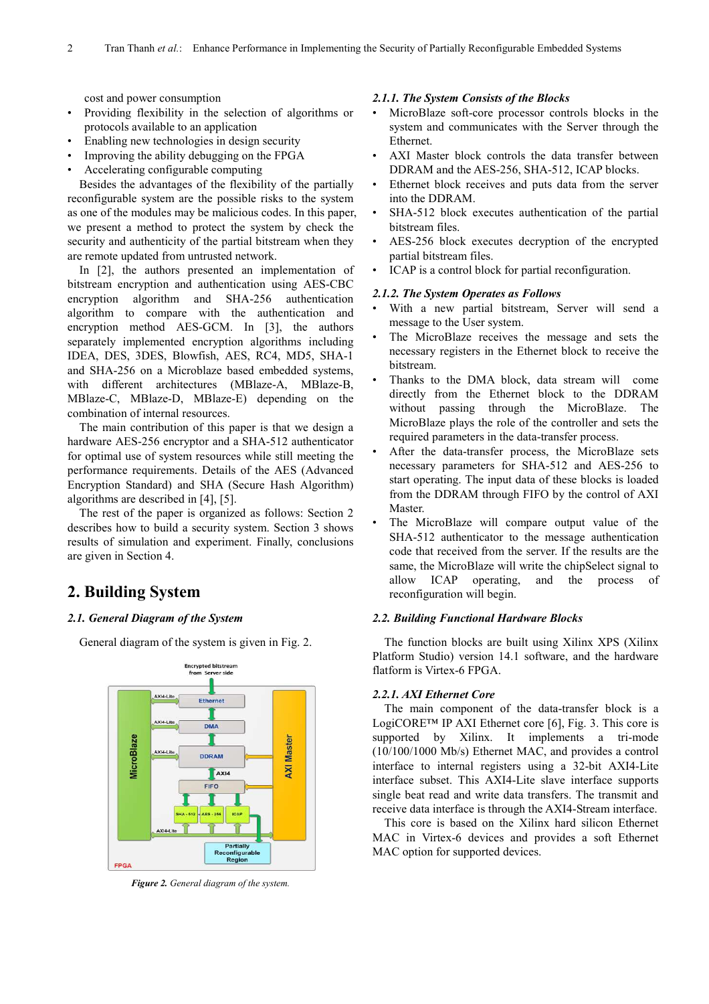cost and power consumption

- Providing flexibility in the selection of algorithms or protocols available to an application
- Enabling new technologies in design security
- Improving the ability debugging on the FPGA
- Accelerating configurable computing

Besides the advantages of the flexibility of the partially reconfigurable system are the possible risks to the system as one of the modules may be malicious codes. In this paper, we present a method to protect the system by check the security and authenticity of the partial bitstream when they are remote updated from untrusted network.

In [2], the authors presented an implementation of bitstream encryption and authentication using AES-CBC encryption algorithm and SHA-256 authentication algorithm to compare with the authentication and encryption method AES-GCM. In [3], the authors separately implemented encryption algorithms including IDEA, DES, 3DES, Blowfish, AES, RC4, MD5, SHA-1 and SHA-256 on a Microblaze based embedded systems, with different architectures (MBlaze-A, MBlaze-B, MBlaze-C, MBlaze-D, MBlaze-E) depending on the combination of internal resources.

The main contribution of this paper is that we design a hardware AES-256 encryptor and a SHA-512 authenticator for optimal use of system resources while still meeting the performance requirements. Details of the AES (Advanced Encryption Standard) and SHA (Secure Hash Algorithm) algorithms are described in [4], [5].

The rest of the paper is organized as follows: Section 2 describes how to build a security system. Section 3 shows results of simulation and experiment. Finally, conclusions are given in Section 4.

# **2. Building System**

#### *2.1. General Diagram of the System*

General diagram of the system is given in Fig. 2.



*Figure 2. General diagram of the system.* 

### *2.1.1. The System Consists of the Blocks*

- MicroBlaze soft-core processor controls blocks in the system and communicates with the Server through the Ethernet.
- AXI Master block controls the data transfer between DDRAM and the AES-256, SHA-512, ICAP blocks.
- Ethernet block receives and puts data from the server into the DDRAM.
- SHA-512 block executes authentication of the partial bitstream files.
- AES-256 block executes decryption of the encrypted partial bitstream files.
- ICAP is a control block for partial reconfiguration.

#### *2.1.2. The System Operates as Follows*

- With a new partial bitstream, Server will send a message to the User system.
- The MicroBlaze receives the message and sets the necessary registers in the Ethernet block to receive the bitstream.
- Thanks to the DMA block, data stream will come directly from the Ethernet block to the DDRAM without passing through the MicroBlaze. The MicroBlaze plays the role of the controller and sets the required parameters in the data-transfer process.
- After the data-transfer process, the MicroBlaze sets necessary parameters for SHA-512 and AES-256 to start operating. The input data of these blocks is loaded from the DDRAM through FIFO by the control of AXI **Master**
- The MicroBlaze will compare output value of the SHA-512 authenticator to the message authentication code that received from the server. If the results are the same, the MicroBlaze will write the chipSelect signal to allow ICAP operating, and the process of reconfiguration will begin.

#### *2.2. Building Functional Hardware Blocks*

The function blocks are built using Xilinx XPS (Xilinx Platform Studio) version 14.1 software, and the hardware flatform is Virtex-6 FPGA.

#### *2.2.1. AXI Ethernet Core*

The main component of the data-transfer block is a LogiCORE™ IP AXI Ethernet core [6], Fig. 3. This core is supported by Xilinx. It implements a tri-mode (10/100/1000 Mb/s) Ethernet MAC, and provides a control interface to internal registers using a 32-bit AXI4-Lite interface subset. This AXI4-Lite slave interface supports single beat read and write data transfers. The transmit and receive data interface is through the AXI4-Stream interface.

This core is based on the Xilinx hard silicon Ethernet MAC in Virtex-6 devices and provides a soft Ethernet MAC option for supported devices.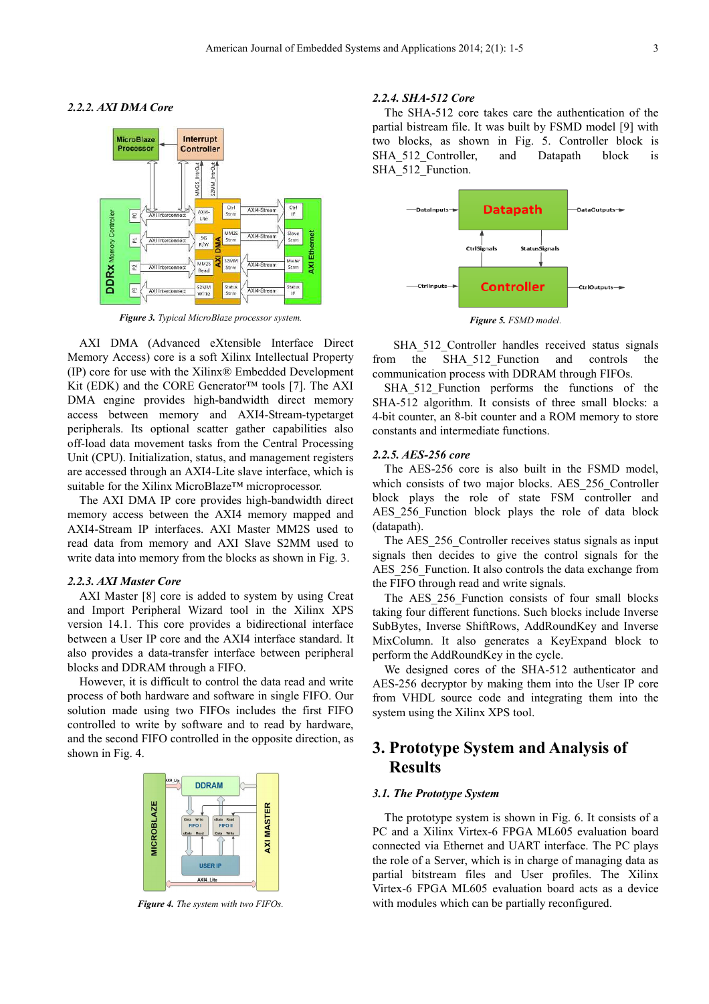#### *2.2.2. AXI DMA Core*



*Figure 3. Typical MicroBlaze processor system.* 

AXI DMA (Advanced eXtensible Interface Direct Memory Access) core is a soft Xilinx Intellectual Property (IP) core for use with the Xilinx® Embedded Development Kit (EDK) and the CORE Generator™ tools [7]. The AXI DMA engine provides high-bandwidth direct memory access between memory and AXI4-Stream-typetarget peripherals. Its optional scatter gather capabilities also off-load data movement tasks from the Central Processing Unit (CPU). Initialization, status, and management registers are accessed through an AXI4-Lite slave interface, which is suitable for the Xilinx MicroBlaze™ microprocessor.

The AXI DMA IP core provides high-bandwidth direct memory access between the AXI4 memory mapped and AXI4-Stream IP interfaces. AXI Master MM2S used to read data from memory and AXI Slave S2MM used to write data into memory from the blocks as shown in Fig. 3.

#### *2.2.3. AXI Master Core*

AXI Master [8] core is added to system by using Creat and Import Peripheral Wizard tool in the Xilinx XPS version 14.1. This core provides a bidirectional interface between a User IP core and the AXI4 interface standard. It also provides a data-transfer interface between peripheral blocks and DDRAM through a FIFO.

However, it is difficult to control the data read and write process of both hardware and software in single FIFO. Our solution made using two FIFOs includes the first FIFO controlled to write by software and to read by hardware, and the second FIFO controlled in the opposite direction, as shown in Fig. 4.



*Figure 4. The system with two FIFOs.* 

#### *2.2.4. SHA-512 Core*

The SHA-512 core takes care the authentication of the partial bistream file. It was built by FSMD model [9] with two blocks, as shown in Fig. 5. Controller block is SHA 512 Controller, and Datapath block is SHA 512 Function.



*Figure 5. FSMD model.* 

SHA 512 Controller handles received status signals from the SHA\_512\_Function and controls the communication process with DDRAM through FIFOs.

SHA\_512\_Function performs the functions of the SHA-512 algorithm. It consists of three small blocks: a 4-bit counter, an 8-bit counter and a ROM memory to store constants and intermediate functions.

#### *2.2.5. AES-256 core*

The AES-256 core is also built in the FSMD model, which consists of two major blocks. AES\_256\_Controller block plays the role of state FSM controller and AES 256 Function block plays the role of data block (datapath).

The AES 256 Controller receives status signals as input signals then decides to give the control signals for the AES 256 Function. It also controls the data exchange from the FIFO through read and write signals.

The AES 256 Function consists of four small blocks taking four different functions. Such blocks include Inverse SubBytes, Inverse ShiftRows, AddRoundKey and Inverse MixColumn. It also generates a KeyExpand block to perform the AddRoundKey in the cycle.

We designed cores of the SHA-512 authenticator and AES-256 decryptor by making them into the User IP core from VHDL source code and integrating them into the system using the Xilinx XPS tool.

# **3. Prototype System and Analysis of Results**

### *3.1. The Prototype System*

The prototype system is shown in Fig. 6. It consists of a PC and a Xilinx Virtex-6 FPGA ML605 evaluation board connected via Ethernet and UART interface. The PC plays the role of a Server, which is in charge of managing data as partial bitstream files and User profiles. The Xilinx Virtex-6 FPGA ML605 evaluation board acts as a device with modules which can be partially reconfigured.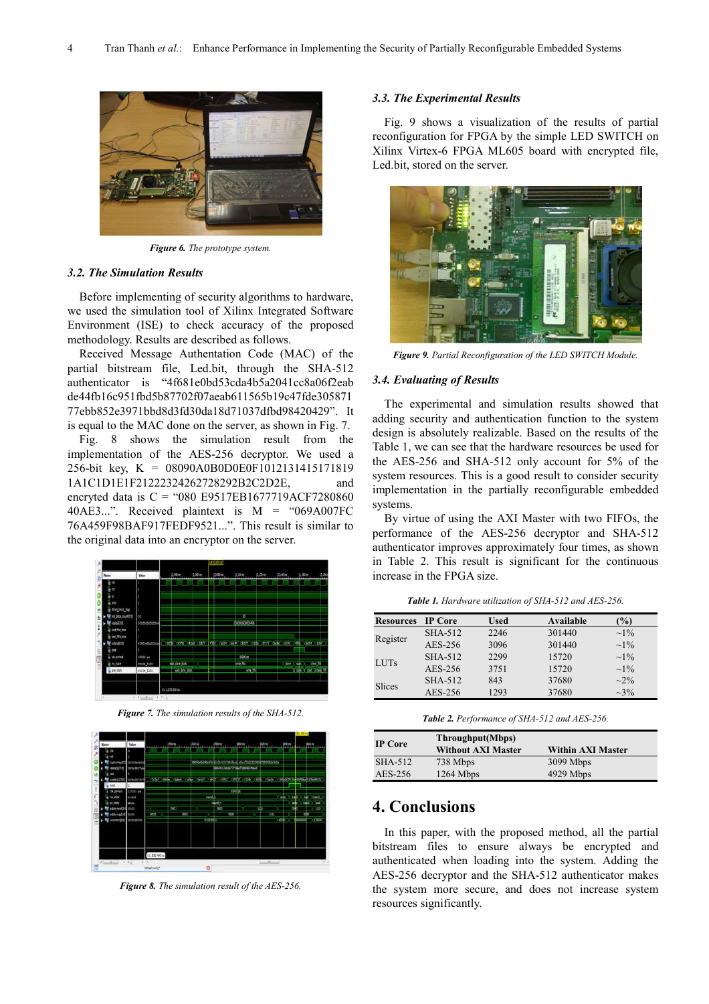

*Figure 6. The prototype system.* 

#### *3.2. The Simulation Results*

Before implementing of security algorithms to hardware, we used the simulation tool of Xilinx Integrated Software Environment (ISE) to check accuracy of the proposed methodology. Results are described as follows.

Received Message Authentation Code (MAC) of the partial bitstream file, Led.bit, through the SHA-512 authenticator is "4f681e0bd53cda4b5a2041cc8a06f2eab de44fb16c951fbd5b87702f07aeab611565b19c47fde305871 77ebb852e3971bbd8d3fd30da18d71037dfbd98420429". It is equal to the MAC done on the server, as shown in Fig. 7.

Fig. 8 shows the simulation result from the implementation of the AES-256 decryptor. We used a 256-bit key, K = 08090A0B0D0E0F1012131415171819 1A1C1D1E1F21222324262728292B2C2D2E, and encryted data is  $C = "080 E9517EB1677719ACF7280860$ 40AE3...". Received plaintext is M = "069A007FC 76A459F98BAF917FEDF9521...". This result is similar to the original data into an encryptor on the server.



*Figure 7. The simulation results of the SHA-512.* 



*Figure 8. The simulation result of the AES-256.* 

### *3.3. The Experimental Results*

Fig. 9 shows a visualization of the results of partial reconfiguration for FPGA by the simple LED SWITCH on Xilinx Virtex-6 FPGA ML605 board with encrypted file, Led.bit, stored on the server.



*Figure 9. Partial Reconfiguration of the LED SWITCH Module.* 

#### *3.4. Evaluating of Results*

The experimental and simulation results showed that adding security and authentication function to the system design is absolutely realizable. Based on the results of the Table 1, we can see that the hardware resources be used for the AES-256 and SHA-512 only account for 5% of the system resources. This is a good result to consider security implementation in the partially reconfigurable embedded systems.

By virtue of using the AXI Master with two FIFOs, the performance of the AES-256 decryptor and SHA-512 authenticator improves approximately four times, as shown in Table 2. This result is significant for the continuous increase in the FPGA size.

*Table 1. Hardware utilization of SHA-512 and AES-256.* 

| <b>Resources</b> | IP Core | <b>Used</b> | Available | $\frac{1}{2}$ |
|------------------|---------|-------------|-----------|---------------|
| Register         | SHA-512 | 2246        | 301440    | $\sim$ 1%     |
|                  | AES-256 | 3096        | 301440    | $\sim 1\%$    |
| <b>LUTs</b>      | SHA-512 | 2299        | 15720     | $\sim 1\%$    |
|                  | AES-256 | 3751        | 15720     | $\sim$ 1%     |
| Slices           | SHA-512 | 843         | 37680     | $\sim 2\%$    |
|                  | AES-256 | 1293        | 37680     | $\sim 3\%$    |

|  | <b>Table 2.</b> Performance of SHA-512 and AES-256. |
|--|-----------------------------------------------------|
|--|-----------------------------------------------------|

| <b>IP Core</b> | Throughput(Mbps)<br><b>Without AXI Master</b> | <b>Within AXI Master</b> |
|----------------|-----------------------------------------------|--------------------------|
| SHA-512        | 738 Mbps                                      | 3099 Mbps                |
| AES-256        | $1264$ Mbps                                   | 4929 Mbps                |

# **4. Conclusions**

In this paper, with the proposed method, all the partial bitstream files to ensure always be encrypted and authenticated when loading into the system. Adding the AES-256 decryptor and the SHA-512 authenticator makes the system more secure, and does not increase system resources significantly.